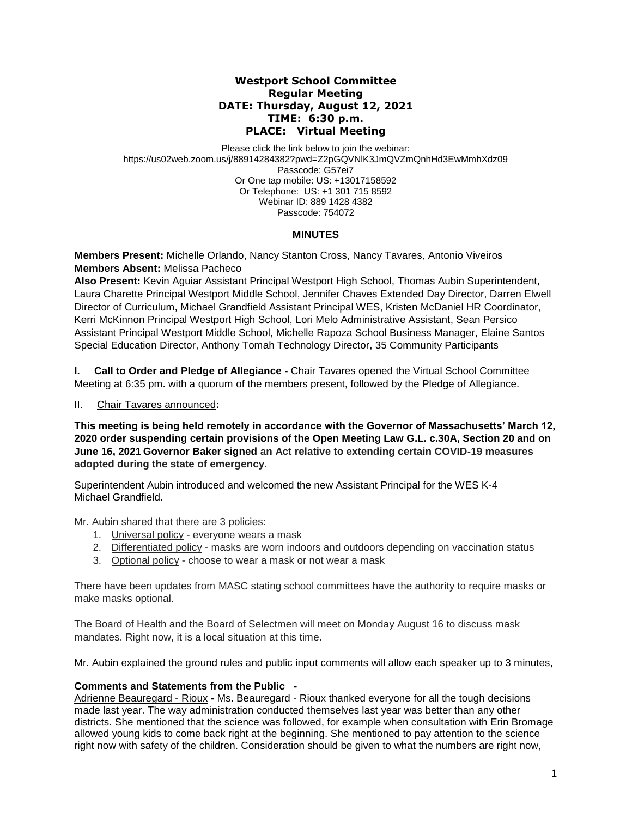# **Westport School Committee Regular Meeting DATE: Thursday, August 12, 2021 TIME: 6:30 p.m. PLACE: Virtual Meeting**

Please click the link below to join the webinar: https://us02web.zoom.us/j/88914284382?pwd=Z2pGQVNlK3JmQVZmQnhHd3EwMmhXdz09 Passcode: G57ei7 Or One tap mobile: US: +13017158592 Or Telephone: US: +1 301 715 8592 Webinar ID: 889 1428 4382 Passcode: 754072

# **MINUTES**

**Members Present:** Michelle Orlando, Nancy Stanton Cross, Nancy Tavares*,* Antonio Viveiros **Members Absent:** Melissa Pacheco

**Also Present:** Kevin Aguiar Assistant Principal Westport High School, Thomas Aubin Superintendent, Laura Charette Principal Westport Middle School, Jennifer Chaves Extended Day Director, Darren Elwell Director of Curriculum, Michael Grandfield Assistant Principal WES, Kristen McDaniel HR Coordinator, Kerri McKinnon Principal Westport High School, Lori Melo Administrative Assistant, Sean Persico Assistant Principal Westport Middle School, Michelle Rapoza School Business Manager, Elaine Santos Special Education Director, Anthony Tomah Technology Director, 35 Community Participants

**I. Call to Order and Pledge of Allegiance -** Chair Tavares opened the Virtual School Committee Meeting at 6:35 pm. with a quorum of the members present, followed by the Pledge of Allegiance.

II. Chair Tavares announced**:** 

**This meeting is being held remotely in accordance with the Governor of Massachusetts' March 12, 2020 order suspending certain provisions of the Open Meeting Law G.L. c.30A, Section 20 and on June 16, 2021 Governor Baker signed an Act relative to extending certain COVID-19 measures adopted during the state of emergency.**

Superintendent Aubin introduced and welcomed the new Assistant Principal for the WES K-4 Michael Grandfield.

Mr. Aubin shared that there are 3 policies:

- 1. Universal policy everyone wears a mask
- 2. Differentiated policy masks are worn indoors and outdoors depending on vaccination status
- 3. Optional policy choose to wear a mask or not wear a mask

There have been updates from MASC stating school committees have the authority to require masks or make masks optional.

The Board of Health and the Board of Selectmen will meet on Monday August 16 to discuss mask mandates. Right now, it is a local situation at this time.

Mr. Aubin explained the ground rules and public input comments will allow each speaker up to 3 minutes,

## **Comments and Statements from the Public -**

Adrienne Beauregard - Rioux **-** Ms. Beauregard - Rioux thanked everyone for all the tough decisions made last year. The way administration conducted themselves last year was better than any other districts. She mentioned that the science was followed, for example when consultation with Erin Bromage allowed young kids to come back right at the beginning. She mentioned to pay attention to the science right now with safety of the children. Consideration should be given to what the numbers are right now,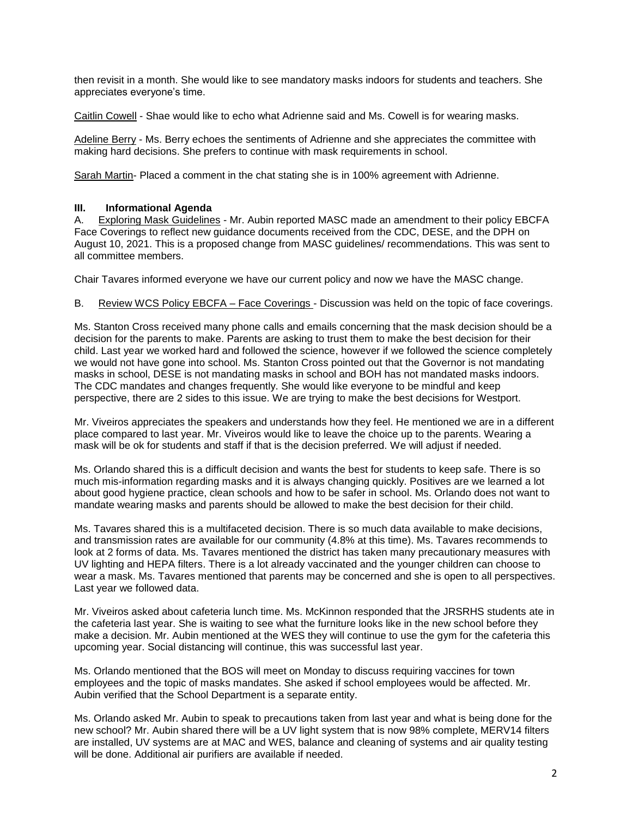then revisit in a month. She would like to see mandatory masks indoors for students and teachers. She appreciates everyone's time.

Caitlin Cowell - Shae would like to echo what Adrienne said and Ms. Cowell is for wearing masks.

Adeline Berry - Ms. Berry echoes the sentiments of Adrienne and she appreciates the committee with making hard decisions. She prefers to continue with mask requirements in school.

Sarah Martin- Placed a comment in the chat stating she is in 100% agreement with Adrienne.

# **III. Informational Agenda**

A. Exploring Mask Guidelines - Mr. Aubin reported MASC made an amendment to their policy EBCFA Face Coverings to reflect new guidance documents received from the CDC, DESE, and the DPH on August 10, 2021. This is a proposed change from MASC guidelines/ recommendations. This was sent to all committee members.

Chair Tavares informed everyone we have our current policy and now we have the MASC change.

## B. Review WCS Policy EBCFA – Face Coverings - Discussion was held on the topic of face coverings.

Ms. Stanton Cross received many phone calls and emails concerning that the mask decision should be a decision for the parents to make. Parents are asking to trust them to make the best decision for their child. Last year we worked hard and followed the science, however if we followed the science completely we would not have gone into school. Ms. Stanton Cross pointed out that the Governor is not mandating masks in school, DESE is not mandating masks in school and BOH has not mandated masks indoors. The CDC mandates and changes frequently. She would like everyone to be mindful and keep perspective, there are 2 sides to this issue. We are trying to make the best decisions for Westport.

Mr. Viveiros appreciates the speakers and understands how they feel. He mentioned we are in a different place compared to last year. Mr. Viveiros would like to leave the choice up to the parents. Wearing a mask will be ok for students and staff if that is the decision preferred. We will adjust if needed.

Ms. Orlando shared this is a difficult decision and wants the best for students to keep safe. There is so much mis-information regarding masks and it is always changing quickly. Positives are we learned a lot about good hygiene practice, clean schools and how to be safer in school. Ms. Orlando does not want to mandate wearing masks and parents should be allowed to make the best decision for their child.

Ms. Tavares shared this is a multifaceted decision. There is so much data available to make decisions, and transmission rates are available for our community (4.8% at this time). Ms. Tavares recommends to look at 2 forms of data. Ms. Tavares mentioned the district has taken many precautionary measures with UV lighting and HEPA filters. There is a lot already vaccinated and the younger children can choose to wear a mask. Ms. Tavares mentioned that parents may be concerned and she is open to all perspectives. Last year we followed data.

Mr. Viveiros asked about cafeteria lunch time. Ms. McKinnon responded that the JRSRHS students ate in the cafeteria last year. She is waiting to see what the furniture looks like in the new school before they make a decision. Mr. Aubin mentioned at the WES they will continue to use the gym for the cafeteria this upcoming year. Social distancing will continue, this was successful last year.

Ms. Orlando mentioned that the BOS will meet on Monday to discuss requiring vaccines for town employees and the topic of masks mandates. She asked if school employees would be affected. Mr. Aubin verified that the School Department is a separate entity.

Ms. Orlando asked Mr. Aubin to speak to precautions taken from last year and what is being done for the new school? Mr. Aubin shared there will be a UV light system that is now 98% complete, MERV14 filters are installed, UV systems are at MAC and WES, balance and cleaning of systems and air quality testing will be done. Additional air purifiers are available if needed.